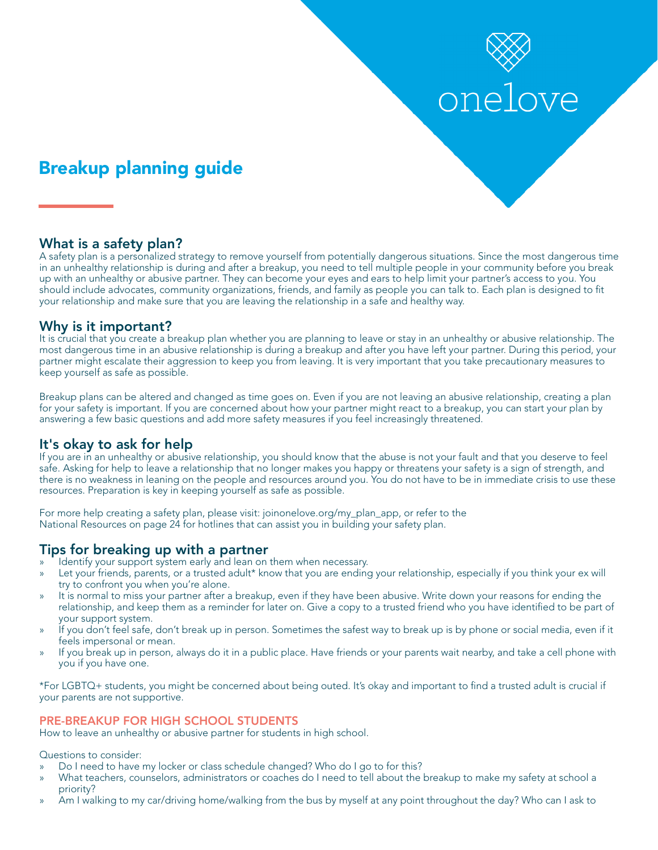# onelove

# Breakup planning guide

# What is a safety plan?

A safety plan is a personalized strategy to remove yourself from potentially dangerous situations. Since the most dangerous time in an unhealthy relationship is during and after a breakup, you need to tell multiple people in your community before you break up with an unhealthy or abusive partner. They can become your eyes and ears to help limit your partner's access to you. You should include advocates, community organizations, friends, and family as people you can talk to. Each plan is designed to ft your relationship and make sure that you are leaving the relationship in a safe and healthy way.

# Why is it important?

It is crucial that you create a breakup plan whether you are planning to leave or stay in an unhealthy or abusive relationship. The most dangerous time in an abusive relationship is during a breakup and after you have left your partner. During this period, your partner might escalate their aggression to keep you from leaving. It is very important that you take precautionary measures to keep yourself as safe as possible.

Breakup plans can be altered and changed as time goes on. Even if you are not leaving an abusive relationship, creating a plan for your safety is important. If you are concerned about how your partner might react to a breakup, you can start your plan by answering a few basic questions and add more safety measures if you feel increasingly threatened.

# It's okay to ask for help

If you are in an unhealthy or abusive relationship, you should know that the abuse is not your fault and that you deserve to feel safe. Asking for help to leave a relationship that no longer makes you happy or threatens your safety is a sign of strength, and there is no weakness in leaning on the people and resources around you. You do not have to be in immediate crisis to use these resources. Preparation is key in keeping yourself as safe as possible.

For more help creating a safety plan, please visit: [joinonelove.org/my\\_plan\\_app](https://joinonelove.org/my_plan_app), or refer to the National Resources on page 24 for hotlines that can assist you in building your safety plan.

# Tips for breaking up with a partner

- » Identify your support system early and lean on them when necessary.
- Let your friends, parents, or a trusted adult\* know that you are ending your relationship, especially if you think your ex will try to confront you when you're alone.
- » It is normal to miss your partner after a breakup, even if they have been abusive. Write down your reasons for ending the relationship, and keep them as a reminder for later on. Give a copy to a trusted friend who you have identifed to be part of your support system.
- » If you don't feel safe, don't break up in person. Sometimes the safest way to break up is by phone or social media, even if it feels impersonal or mean.
- » If you break up in person, always do it in a public place. Have friends or your parents wait nearby, and take a cell phone with you if you have one.

\*For LGBTQ+ students, you might be concerned about being outed. It's okay and important to fnd a trusted adult is crucial if your parents are not supportive.

### PRE-BREAKUP FOR HIGH SCHOOL STUDENTS

How to leave an unhealthy or abusive partner for students in high school.

Questions to consider:

- » Do I need to have my locker or class schedule changed? Who do I go to for this?
- » What teachers, counselors, administrators or coaches do I need to tell about the breakup to make my safety at school a priority?
- » Am I walking to my car/driving home/walking from the bus by myself at any point throughout the day? Who can I ask to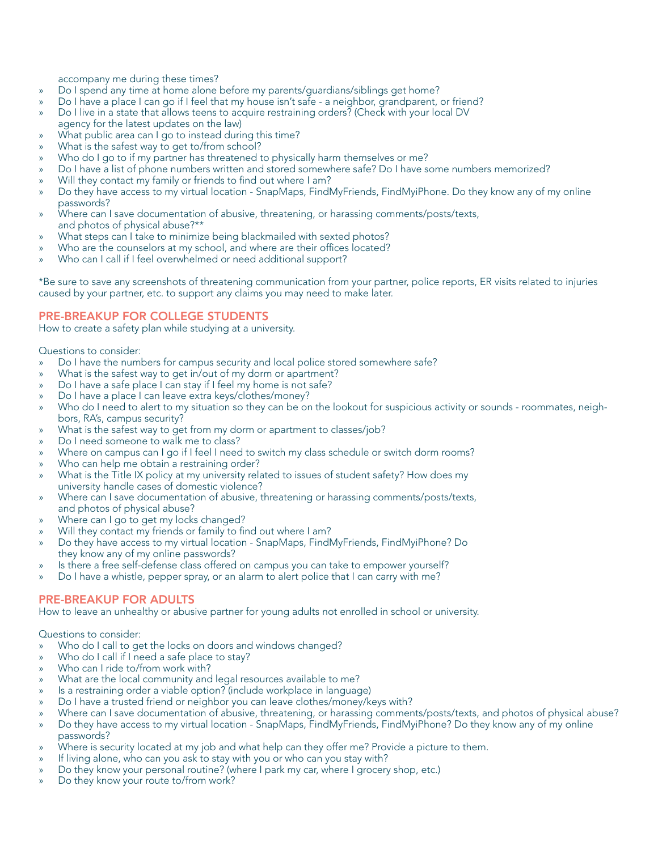accompany me during these times?

- » Do I spend any time at home alone before my parents/guardians/siblings get home?
- » Do I have a place I can go if I feel that my house isn't safe a neighbor, grandparent, or friend?
- » Do I live in a state that allows teens to acquire restraining orders? (Check with your local DV
- agency for the latest updates on the law)
- What public area can I go to instead during this time?
- What is the safest way to get to/from school?
- Who do I go to if my partner has threatened to physically harm themselves or me?
- » Do I have a list of phone numbers written and stored somewhere safe? Do I have some numbers memorized?
- Will they contact my family or friends to find out where I am?
- » Do they have access to my virtual location SnapMaps, FindMyFriends, FindMyiPhone. Do they know any of my online passwords?
- » Where can I save documentation of abusive, threatening, or harassing comments/posts/texts, and photos of physical abuse?\*\*
- What steps can I take to minimize being blackmailed with sexted photos?
- Who are the counselors at my school, and where are their offices located?
- Who can I call if I feel overwhelmed or need additional support?

\*Be sure to save any screenshots of threatening communication from your partner, police reports, ER visits related to injuries caused by your partner, etc. to support any claims you may need to make later.

#### PRE-BREAKUP FOR COLLEGE STUDENTS

How to create a safety plan while studying at a university.

Questions to consider:

- » Do I have the numbers for campus security and local police stored somewhere safe?
- What is the safest way to get in/out of my dorm or apartment?
- » Do I have a safe place I can stay if I feel my home is not safe?
- » Do I have a place I can leave extra keys/clothes/money?
- Who do I need to alert to my situation so they can be on the lookout for suspicious activity or sounds roommates, neighbors, RA's, campus security?
- What is the safest way to get from my dorm or apartment to classes/job?
- » Do I need someone to walk me to class?
- Where on campus can I go if I feel I need to switch my class schedule or switch dorm rooms?
- Who can help me obtain a restraining order?
- » What is the Title IX policy at my university related to issues of student safety? How does my university handle cases of domestic violence?
- » Where can I save documentation of abusive, threatening or harassing comments/posts/texts, and photos of physical abuse?
- Where can I go to get my locks changed?
- Will they contact my friends or family to find out where I am?
- » Do they have access to my virtual location SnapMaps, FindMyFriends, FindMyiPhone? Do they know any of my online passwords?
- Is there a free self-defense class offered on campus you can take to empower yourself?
- » Do I have a whistle, pepper spray, or an alarm to alert police that I can carry with me?

#### PRE-BREAKUP FOR ADULTS

How to leave an unhealthy or abusive partner for young adults not enrolled in school or university.

Questions to consider:

- Who do I call to get the locks on doors and windows changed?
- Who do I call if I need a safe place to stay?
- Who can I ride to/from work with?
- What are the local community and legal resources available to me?
- Is a restraining order a viable option? (include workplace in language)
- » Do I have a trusted friend or neighbor you can leave clothes/money/keys with?
- » Where can I save documentation of abusive, threatening, or harassing comments/posts/texts, and photos of physical abuse?
- » Do they have access to my virtual location SnapMaps, FindMyFriends, FindMyiPhone? Do they know any of my online passwords?
- Where is security located at my job and what help can they offer me? Provide a picture to them.
- If living alone, who can you ask to stay with you or who can you stay with?
- » Do they know your personal routine? (where I park my car, where I grocery shop, etc.)
- » Do they know your route to/from work?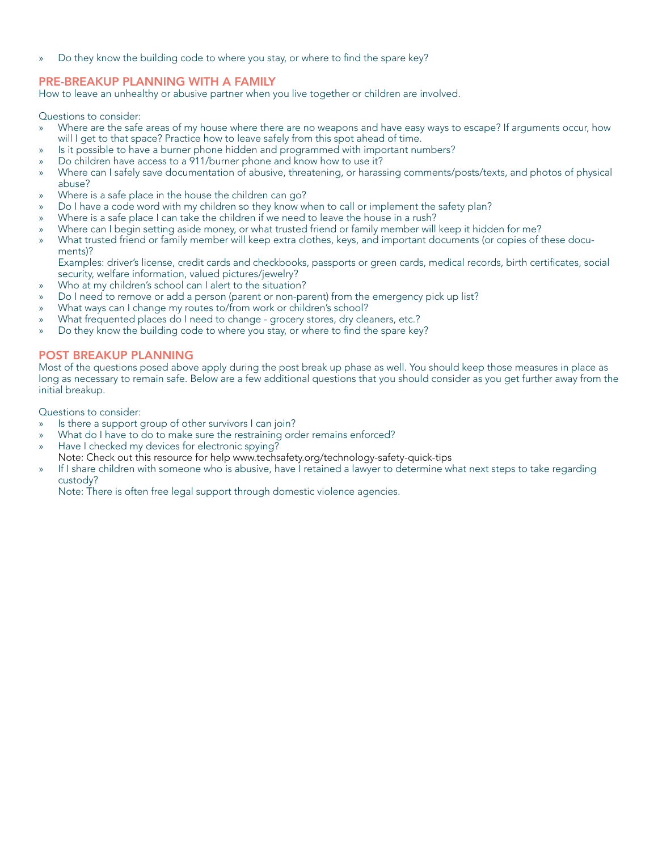» Do they know the building code to where you stay, or where to fnd the spare key?

#### PRE-BREAKUP PLANNING WITH A FAMILY

How to leave an unhealthy or abusive partner when you live together or children are involved.

Questions to consider:

- » Where are the safe areas of my house where there are no weapons and have easy ways to escape? If arguments occur, how will I get to that space? Practice how to leave safely from this spot ahead of time.
- » Is it possible to have a burner phone hidden and programmed with important numbers?
- » Do children have access to a 911/burner phone and know how to use it?
- » Where can I safely save documentation of abusive, threatening, or harassing comments/posts/texts, and photos of physical abuse?
- » Where is a safe place in the house the children can go?
- Do I have a code word with my children so they know when to call or implement the safety plan?
- Where is a safe place I can take the children if we need to leave the house in a rush?
- » Where can I begin setting aside money, or what trusted friend or family member will keep it hidden for me?
- » What trusted friend or family member will keep extra clothes, keys, and important documents (or copies of these documents)?

Examples: driver's license, credit cards and checkbooks, passports or green cards, medical records, birth certifcates, social security, welfare information, valued pictures/jewelry?

- Who at my children's school can I alert to the situation?
- Do I need to remove or add a person (parent or non-parent) from the emergency pick up list?
- What ways can I change my routes to/from work or children's school?
- » What frequented places do I need to change grocery stores, dry cleaners, etc.?
- » Do they know the building code to where you stay, or where to fnd the spare key?

#### POST BREAKUP PLANNING

Most of the questions posed above apply during the post break up phase as well. You should keep those measures in place as long as necessary to remain safe. Below are a few additional questions that you should consider as you get further away from the initial breakup.

Questions to consider:

- » Is there a support group of other survivors I can join?
- What do I have to do to make sure the restraining order remains enforced?
- Have I checked my devices for electronic spying?
- Note: Check out this resource for help <www.techsafety.org/technology-safety-quick-tips>
- » If I share children with someone who is abusive, have I retained a lawyer to determine what next steps to take regarding custody?

Note: There is often free legal support through domestic violence agencies.